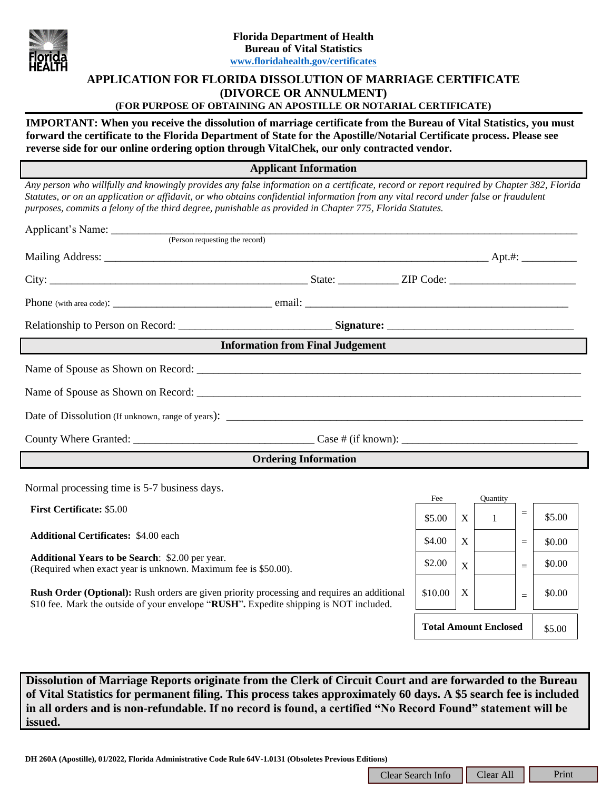

# **APPLICATION FOR FLORIDA DISSOLUTION OF MARRIAGE CERTIFICATE (DIVORCE OR ANNULMENT)**

# **(FOR PURPOSE OF OBTAINING AN APOSTILLE OR NOTARIAL CERTIFICATE)**

**IMPORTANT: When you receive the dissolution of marriage certificate from the Bureau of Vital Statistics, you must forward the certificate to the Florida Department of State for the Apostille/Notarial Certificate process. Please see reverse side for our online ordering option through VitalChek, our only contracted vendor.**

**Applicant Information**

*Any person who willfully and knowingly provides any false information on a certificate, record or report required by Chapter 382, Florida Statutes, or on an application or affidavit, or who obtains confidential information from any vital record under false or fraudulent purposes, commits a felony of the third degree, punishable as provided in Chapter 775, Florida Statutes.*

| (Person requesting the record)                                                                                                                                                                                                                                                                                                                          |  |                                        |                   |                          |          |        |
|---------------------------------------------------------------------------------------------------------------------------------------------------------------------------------------------------------------------------------------------------------------------------------------------------------------------------------------------------------|--|----------------------------------------|-------------------|--------------------------|----------|--------|
|                                                                                                                                                                                                                                                                                                                                                         |  |                                        |                   |                          |          |        |
|                                                                                                                                                                                                                                                                                                                                                         |  |                                        |                   |                          |          |        |
|                                                                                                                                                                                                                                                                                                                                                         |  |                                        |                   |                          |          |        |
|                                                                                                                                                                                                                                                                                                                                                         |  |                                        |                   |                          |          |        |
| <b>Information from Final Judgement</b>                                                                                                                                                                                                                                                                                                                 |  |                                        |                   |                          |          |        |
|                                                                                                                                                                                                                                                                                                                                                         |  |                                        |                   |                          |          |        |
|                                                                                                                                                                                                                                                                                                                                                         |  |                                        |                   |                          |          |        |
|                                                                                                                                                                                                                                                                                                                                                         |  |                                        |                   |                          |          |        |
|                                                                                                                                                                                                                                                                                                                                                         |  |                                        |                   |                          |          |        |
| <b>Ordering Information</b>                                                                                                                                                                                                                                                                                                                             |  |                                        |                   |                          |          |        |
| Normal processing time is 5-7 business days.                                                                                                                                                                                                                                                                                                            |  |                                        |                   |                          |          |        |
| <b>First Certificate: \$5.00</b>                                                                                                                                                                                                                                                                                                                        |  | Fee<br>\$5.00                          | X                 | Quantity<br>$\mathbf{1}$ | $\equiv$ | \$5.00 |
| <b>Additional Certificates: \$4.00 each</b>                                                                                                                                                                                                                                                                                                             |  | \$4.00                                 | $X_{\mathcal{I}}$ |                          | $\equiv$ | \$0.00 |
| <b>Additional Years to be Search: \$2.00 per year.</b><br>(Required when exact year is unknown. Maximum fee is \$50.00).                                                                                                                                                                                                                                |  | \$2.00                                 | X                 |                          | $=$      | \$0.00 |
| Rush Order (Optional): Rush orders are given priority processing and requires an additional<br>\$10 fee. Mark the outside of your envelope "RUSH". Expedite shipping is NOT included.                                                                                                                                                                   |  | \$10.00                                | X                 |                          | $=$      | \$0.00 |
|                                                                                                                                                                                                                                                                                                                                                         |  | <b>Total Amount Enclosed</b><br>\$5.00 |                   |                          |          |        |
|                                                                                                                                                                                                                                                                                                                                                         |  |                                        |                   |                          |          |        |
| Dissolution of Marriage Reports originate from the Clerk of Circuit Court and are forwarded to the Bureau<br>of Vital Statistics for permanent filing. This process takes approximately 60 days. A \$5 search fee is included<br>in all orders and is non-refundable. If no record is found, a certified "No Record Found" statement will be<br>issued. |  |                                        |                   |                          |          |        |
| DH 260A (Apostille), 01/2022, Florida Administrative Code Rule 64V-1.0131 (Obsoletes Previous Editions)                                                                                                                                                                                                                                                 |  |                                        |                   |                          |          |        |
| Print<br>Clear All<br>Clear Search Info                                                                                                                                                                                                                                                                                                                 |  |                                        |                   |                          |          |        |